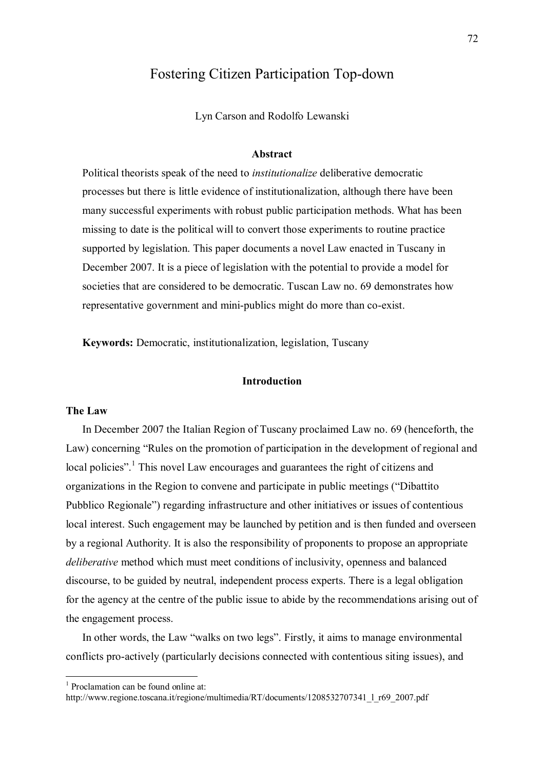# Fostering Citizen Participation Top-down

Lyn Carson and Rodolfo Lewanski

#### **Abstract**

Political theorists speak of the need to *institutionalize* deliberative democratic processes but there is little evidence of institutionalization, although there have been many successful experiments with robust public participation methods. What has been missing to date is the political will to convert those experiments to routine practice supported by legislation. This paper documents a novel Law enacted in Tuscany in December 2007. It is a piece of legislation with the potential to provide a model for societies that are considered to be democratic. Tuscan Law no. 69 demonstrates how representative government and mini-publics might do more than co-exist.

**Keywords:** Democratic, institutionalization, legislation, Tuscany

# **Introduction**

#### **The Law**

 In December 2007 the Italian Region of Tuscany proclaimed Law no. 69 (henceforth, the Law) concerning "Rules on the promotion of participation in the development of regional and local policies".<sup>1</sup> This novel Law encourages and guarantees the right of citizens and organizations in the Region to convene and participate in public meetings ("Dibattito") Pubblico Regionale<sup>?</sup>) regarding infrastructure and other initiatives or issues of contentious local interest. Such engagement may be launched by petition and is then funded and overseen by a regional Authority. It is also the responsibility of proponents to propose an appropriate *deliberative* method which must meet conditions of inclusivity, openness and balanced discourse, to be guided by neutral, independent process experts. There is a legal obligation for the agency at the centre of the public issue to abide by the recommendations arising out of the engagement process.

In other words, the Law "walks on two legs". Firstly, it aims to manage environmental conflicts pro-actively (particularly decisions connected with contentious siting issues), and

1 Proclamation can be found online at:

 $\overline{a}$ 

http://www.regione.toscana.it/regione/multimedia/RT/documents/1208532707341\_l\_r69\_2007.pdf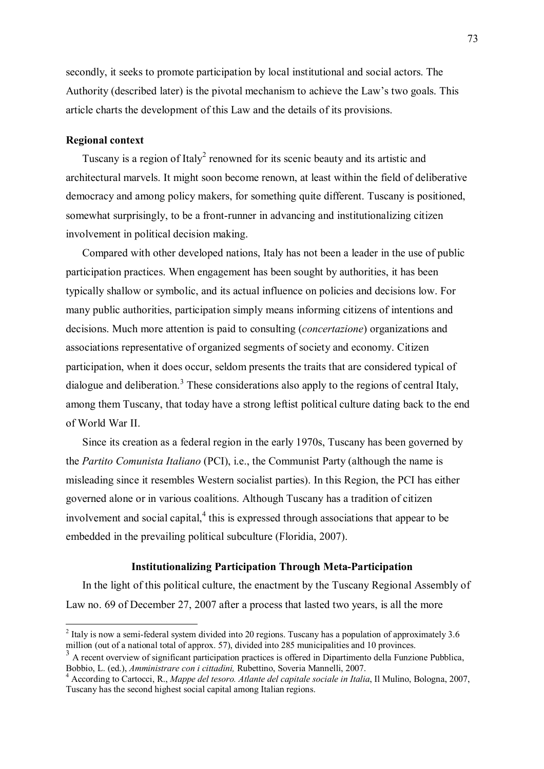secondly, it seeks to promote participation by local institutional and social actors. The Authority (described later) is the pivotal mechanism to achieve the Law's two goals. This article charts the development of this Law and the details of its provisions.

# **Regional context**

Tuscany is a region of Italy<sup>2</sup> renowned for its scenic beauty and its artistic and architectural marvels. It might soon become renown, at least within the field of deliberative democracy and among policy makers, for something quite different. Tuscany is positioned, somewhat surprisingly, to be a front-runner in advancing and institutionalizing citizen involvement in political decision making.

 Compared with other developed nations, Italy has not been a leader in the use of public participation practices. When engagement has been sought by authorities, it has been typically shallow or symbolic, and its actual influence on policies and decisions low. For many public authorities, participation simply means informing citizens of intentions and decisions. Much more attention is paid to consulting (*concertazione*) organizations and associations representative of organized segments of society and economy. Citizen participation, when it does occur, seldom presents the traits that are considered typical of dialogue and deliberation.<sup>3</sup> These considerations also apply to the regions of central Italy, among them Tuscany, that today have a strong leftist political culture dating back to the end of World War II.

 Since its creation as a federal region in the early 1970s, Tuscany has been governed by the *Partito Comunista Italiano* (PCI), i.e., the Communist Party (although the name is misleading since it resembles Western socialist parties). In this Region, the PCI has either governed alone or in various coalitions. Although Tuscany has a tradition of citizen involvement and social capital, $<sup>4</sup>$  this is expressed through associations that appear to be</sup> embedded in the prevailing political subculture (Floridia, 2007).

# **Institutionalizing Participation Through Meta-Participation**

 In the light of this political culture, the enactment by the Tuscany Regional Assembly of Law no. 69 of December 27, 2007 after a process that lasted two years, is all the more

<sup>&</sup>lt;sup>2</sup> Italy is now a semi-federal system divided into 20 regions. Tuscany has a population of approximately 3.6 million (out of a national total of approx. 57), divided into 285 municipalities and 10 provinces.

<sup>&</sup>lt;sup>3</sup> A recent overview of significant participation practices is offered in Dipartimento della Funzione Pubblica, Bobbio, L. (ed.), *Amministrare con i cittadini,* Rubettino, Soveria Mannelli, 2007. <sup>4</sup>

According to Cartocci, R., *Mappe del tesoro. Atlante del capitale sociale in Italia*, Il Mulino, Bologna, 2007, Tuscany has the second highest social capital among Italian regions.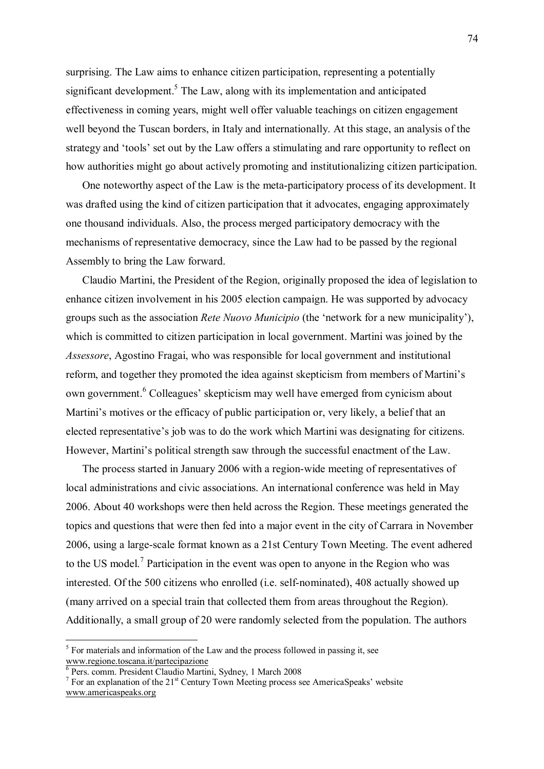surprising. The Law aims to enhance citizen participation, representing a potentially significant development.<sup>5</sup> The Law, along with its implementation and anticipated effectiveness in coming years, might well offer valuable teachings on citizen engagement well beyond the Tuscan borders, in Italy and internationally. At this stage, an analysis of the strategy and 'tools' set out by the Law offers a stimulating and rare opportunity to reflect on how authorities might go about actively promoting and institutionalizing citizen participation.

 One noteworthy aspect of the Law is the meta-participatory process of its development. It was drafted using the kind of citizen participation that it advocates, engaging approximately one thousand individuals. Also, the process merged participatory democracy with the mechanisms of representative democracy, since the Law had to be passed by the regional Assembly to bring the Law forward.

 Claudio Martini, the President of the Region, originally proposed the idea of legislation to enhance citizen involvement in his 2005 election campaign. He was supported by advocacy groups such as the association *Rete Nuovo Municipio* (the 'network for a new municipality'), which is committed to citizen participation in local government. Martini was joined by the *Assessore*, Agostino Fragai, who was responsible for local government and institutional reform, and together they promoted the idea against skepticism from members of Martini's own government.<sup>6</sup> Colleagues' skepticism may well have emerged from cynicism about Martini's motives or the efficacy of public participation or, very likely, a belief that an elected representative's job was to do the work which Martini was designating for citizens. However, Martini's political strength saw through the successful enactment of the Law.

 The process started in January 2006 with a region-wide meeting of representatives of local administrations and civic associations. An international conference was held in May 2006. About 40 workshops were then held across the Region. These meetings generated the topics and questions that were then fed into a major event in the city of Carrara in November 2006, using a large-scale format known as a 21st Century Town Meeting. The event adhered to the US model.<sup>7</sup> Participation in the event was open to anyone in the Region who was interested. Of the 500 citizens who enrolled (i.e. self-nominated), 408 actually showed up (many arrived on a special train that collected them from areas throughout the Region). Additionally, a small group of 20 were randomly selected from the population. The authors

<sup>&</sup>lt;sup>5</sup> For materials and information of the Law and the process followed in passing it, see www.regione.toscana.it/partecipazione<br><sup>6</sup> Pers. comm. President Claudio Martini, Sydney, 1 March 2008

<sup>&</sup>lt;sup>7</sup> For an explanation of the  $21<sup>st</sup>$  Century Town Meeting process see AmericaSpeaks' website www.americaspeaks.org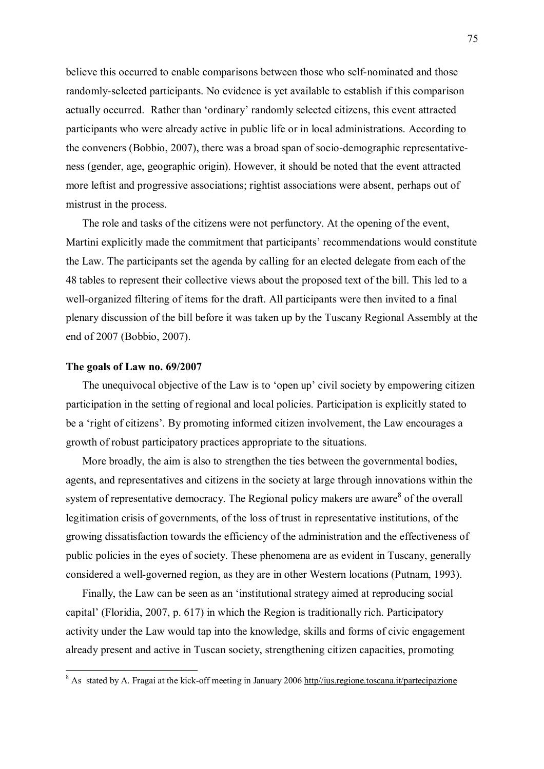believe this occurred to enable comparisons between those who self-nominated and those randomly-selected participants. No evidence is yet available to establish if this comparison actually occurred. Rather than 'ordinary' randomly selected citizens, this event attracted participants who were already active in public life or in local administrations. According to the conveners (Bobbio, 2007), there was a broad span of socio-demographic representativeness (gender, age, geographic origin). However, it should be noted that the event attracted more leftist and progressive associations; rightist associations were absent, perhaps out of mistrust in the process.

 The role and tasks of the citizens were not perfunctory. At the opening of the event, Martini explicitly made the commitment that participants' recommendations would constitute the Law. The participants set the agenda by calling for an elected delegate from each of the 48 tables to represent their collective views about the proposed text of the bill. This led to a well-organized filtering of items for the draft. All participants were then invited to a final plenary discussion of the bill before it was taken up by the Tuscany Regional Assembly at the end of 2007 (Bobbio, 2007).

#### **The goals of Law no. 69/2007**

The unequivocal objective of the Law is to 'open up' civil society by empowering citizen participation in the setting of regional and local policies. Participation is explicitly stated to be a 'right of citizens'. By promoting informed citizen involvement, the Law encourages a growth of robust participatory practices appropriate to the situations.

 More broadly, the aim is also to strengthen the ties between the governmental bodies, agents, and representatives and citizens in the society at large through innovations within the system of representative democracy. The Regional policy makers are aware<sup>8</sup> of the overall legitimation crisis of governments, of the loss of trust in representative institutions, of the growing dissatisfaction towards the efficiency of the administration and the effectiveness of public policies in the eyes of society. These phenomena are as evident in Tuscany, generally considered a well-governed region, as they are in other Western locations (Putnam, 1993).

 Finally, the Law can be seen as an ëinstitutional strategy aimed at reproducing social capital' (Floridia, 2007, p. 617) in which the Region is traditionally rich. Participatory activity under the Law would tap into the knowledge, skills and forms of civic engagement already present and active in Tuscan society, strengthening citizen capacities, promoting

<sup>&</sup>lt;sup>8</sup> As stated by A. Fragai at the kick-off meeting in January 2006 http//ius.regione.toscana.it/partecipazione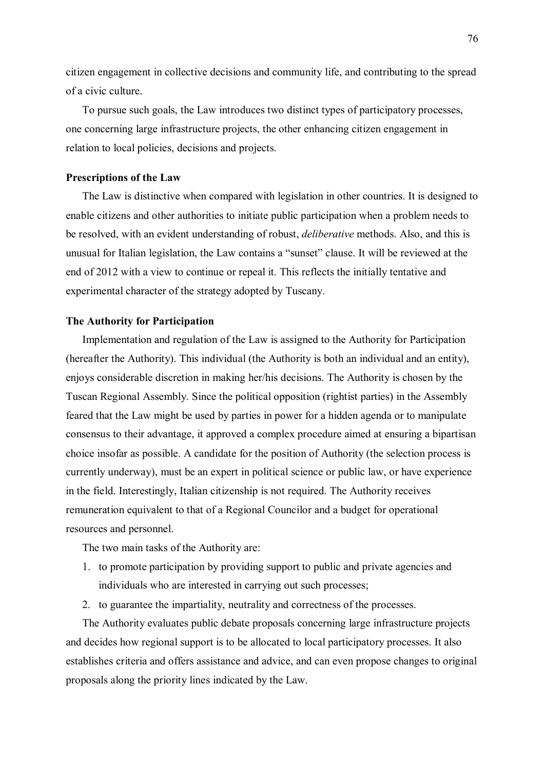citizen engagement in collective decisions and community life, and contributing to the spread of a civic culture.

 To pursue such goals, the Law introduces two distinct types of participatory processes, one concerning large infrastructure projects, the other enhancing citizen engagement in relation to local policies, decisions and projects.

# **Prescriptions of the Law**

 The Law is distinctive when compared with legislation in other countries. It is designed to enable citizens and other authorities to initiate public participation when a problem needs to be resolved, with an evident understanding of robust, *deliberative* methods. Also, and this is unusual for Italian legislation, the Law contains a "sunset" clause. It will be reviewed at the end of 2012 with a view to continue or repeal it. This reflects the initially tentative and experimental character of the strategy adopted by Tuscany.

### **The Authority for Participation**

 Implementation and regulation of the Law is assigned to the Authority for Participation (hereafter the Authority). This individual (the Authority is both an individual and an entity), enjoys considerable discretion in making her/his decisions. The Authority is chosen by the Tuscan Regional Assembly. Since the political opposition (rightist parties) in the Assembly feared that the Law might be used by parties in power for a hidden agenda or to manipulate consensus to their advantage, it approved a complex procedure aimed at ensuring a bipartisan choice insofar as possible. A candidate for the position of Authority (the selection process is currently underway), must be an expert in political science or public law, or have experience in the field. Interestingly, Italian citizenship is not required. The Authority receives remuneration equivalent to that of a Regional Councilor and a budget for operational resources and personnel.

The two main tasks of the Authority are:

- 1. to promote participation by providing support to public and private agencies and individuals who are interested in carrying out such processes;
- 2. to guarantee the impartiality, neutrality and correctness of the processes.

 The Authority evaluates public debate proposals concerning large infrastructure projects and decides how regional support is to be allocated to local participatory processes. It also establishes criteria and offers assistance and advice, and can even propose changes to original proposals along the priority lines indicated by the Law.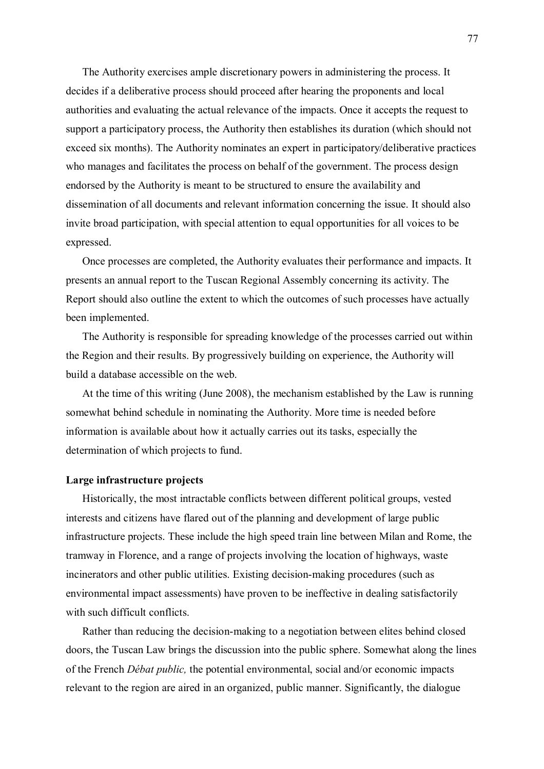The Authority exercises ample discretionary powers in administering the process. It decides if a deliberative process should proceed after hearing the proponents and local authorities and evaluating the actual relevance of the impacts. Once it accepts the request to support a participatory process, the Authority then establishes its duration (which should not exceed six months). The Authority nominates an expert in participatory/deliberative practices who manages and facilitates the process on behalf of the government. The process design endorsed by the Authority is meant to be structured to ensure the availability and dissemination of all documents and relevant information concerning the issue. It should also invite broad participation, with special attention to equal opportunities for all voices to be expressed.

 Once processes are completed, the Authority evaluates their performance and impacts. It presents an annual report to the Tuscan Regional Assembly concerning its activity. The Report should also outline the extent to which the outcomes of such processes have actually been implemented.

 The Authority is responsible for spreading knowledge of the processes carried out within the Region and their results. By progressively building on experience, the Authority will build a database accessible on the web.

 At the time of this writing (June 2008), the mechanism established by the Law is running somewhat behind schedule in nominating the Authority. More time is needed before information is available about how it actually carries out its tasks, especially the determination of which projects to fund.

# **Large infrastructure projects**

 Historically, the most intractable conflicts between different political groups, vested interests and citizens have flared out of the planning and development of large public infrastructure projects. These include the high speed train line between Milan and Rome, the tramway in Florence, and a range of projects involving the location of highways, waste incinerators and other public utilities. Existing decision-making procedures (such as environmental impact assessments) have proven to be ineffective in dealing satisfactorily with such difficult conflicts.

 Rather than reducing the decision-making to a negotiation between elites behind closed doors, the Tuscan Law brings the discussion into the public sphere. Somewhat along the lines of the French *DÈbat public,* the potential environmental, social and/or economic impacts relevant to the region are aired in an organized, public manner. Significantly, the dialogue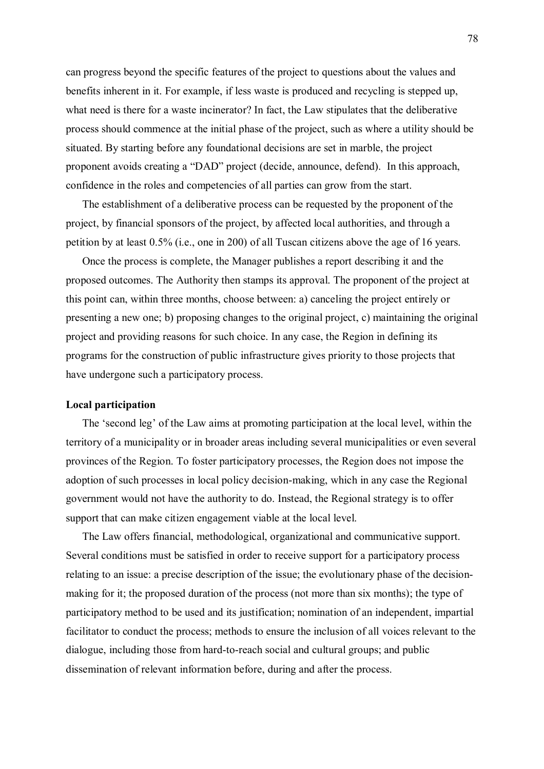can progress beyond the specific features of the project to questions about the values and benefits inherent in it. For example, if less waste is produced and recycling is stepped up, what need is there for a waste incinerator? In fact, the Law stipulates that the deliberative process should commence at the initial phase of the project, such as where a utility should be situated. By starting before any foundational decisions are set in marble, the project proponent avoids creating a "DAD" project (decide, announce, defend). In this approach, confidence in the roles and competencies of all parties can grow from the start.

 The establishment of a deliberative process can be requested by the proponent of the project, by financial sponsors of the project, by affected local authorities, and through a petition by at least 0.5% (i.e., one in 200) of all Tuscan citizens above the age of 16 years.

 Once the process is complete, the Manager publishes a report describing it and the proposed outcomes. The Authority then stamps its approval. The proponent of the project at this point can, within three months, choose between: a) canceling the project entirely or presenting a new one; b) proposing changes to the original project, c) maintaining the original project and providing reasons for such choice. In any case, the Region in defining its programs for the construction of public infrastructure gives priority to those projects that have undergone such a participatory process.

# **Local participation**

The 'second leg' of the Law aims at promoting participation at the local level, within the territory of a municipality or in broader areas including several municipalities or even several provinces of the Region. To foster participatory processes, the Region does not impose the adoption of such processes in local policy decision-making, which in any case the Regional government would not have the authority to do. Instead, the Regional strategy is to offer support that can make citizen engagement viable at the local level.

 The Law offers financial, methodological, organizational and communicative support. Several conditions must be satisfied in order to receive support for a participatory process relating to an issue: a precise description of the issue; the evolutionary phase of the decisionmaking for it; the proposed duration of the process (not more than six months); the type of participatory method to be used and its justification; nomination of an independent, impartial facilitator to conduct the process; methods to ensure the inclusion of all voices relevant to the dialogue, including those from hard-to-reach social and cultural groups; and public dissemination of relevant information before, during and after the process.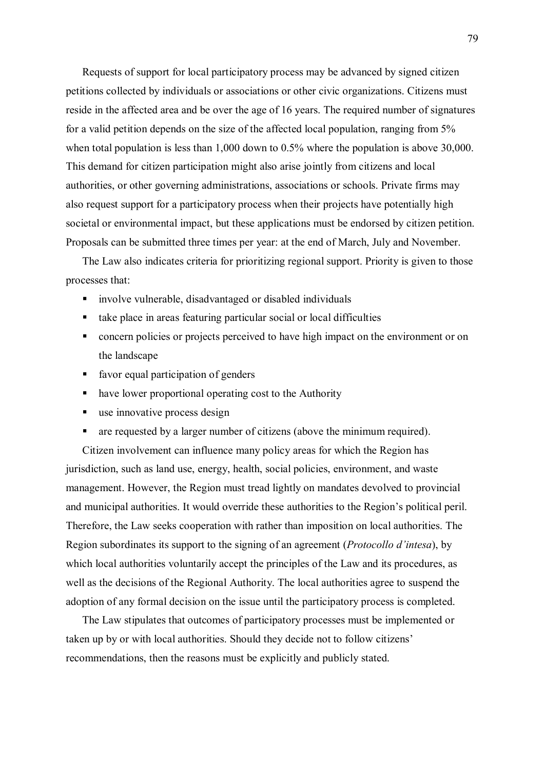Requests of support for local participatory process may be advanced by signed citizen petitions collected by individuals or associations or other civic organizations. Citizens must reside in the affected area and be over the age of 16 years. The required number of signatures for a valid petition depends on the size of the affected local population, ranging from 5% when total population is less than 1,000 down to 0.5% where the population is above 30,000. This demand for citizen participation might also arise jointly from citizens and local authorities, or other governing administrations, associations or schools. Private firms may also request support for a participatory process when their projects have potentially high societal or environmental impact, but these applications must be endorsed by citizen petition. Proposals can be submitted three times per year: at the end of March, July and November.

 The Law also indicates criteria for prioritizing regional support. Priority is given to those processes that:

- ! involve vulnerable, disadvantaged or disabled individuals
- ! take place in areas featuring particular social or local difficulties
- concern policies or projects perceived to have high impact on the environment or on the landscape
- ! favor equal participation of genders
- ! have lower proportional operating cost to the Authority
- use innovative process design
- ! are requested by a larger number of citizens (above the minimum required).

 Citizen involvement can influence many policy areas for which the Region has jurisdiction, such as land use, energy, health, social policies, environment, and waste management. However, the Region must tread lightly on mandates devolved to provincial and municipal authorities. It would override these authorities to the Region's political peril. Therefore, the Law seeks cooperation with rather than imposition on local authorities. The Region subordinates its support to the signing of an agreement (*Protocollo d'intesa*), by which local authorities voluntarily accept the principles of the Law and its procedures, as well as the decisions of the Regional Authority. The local authorities agree to suspend the adoption of any formal decision on the issue until the participatory process is completed.

 The Law stipulates that outcomes of participatory processes must be implemented or taken up by or with local authorities. Should they decide not to follow citizens' recommendations, then the reasons must be explicitly and publicly stated.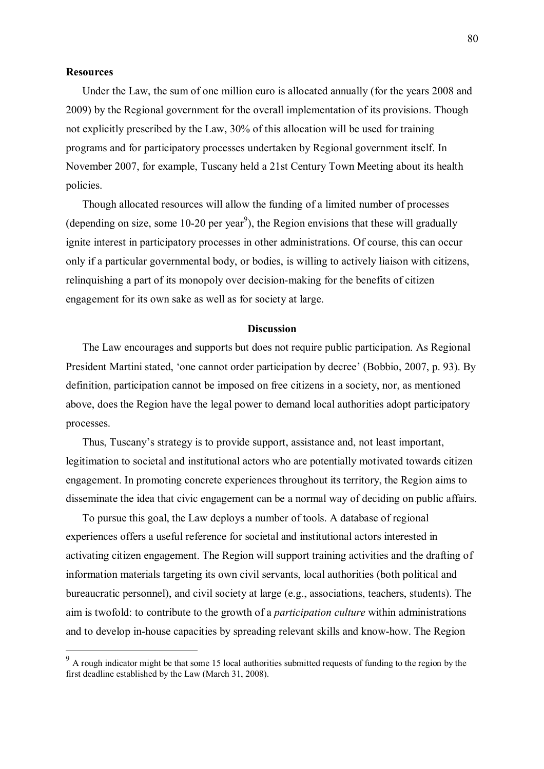## **Resources**

 $\overline{a}$ 

 Under the Law, the sum of one million euro is allocated annually (for the years 2008 and 2009) by the Regional government for the overall implementation of its provisions. Though not explicitly prescribed by the Law, 30% of this allocation will be used for training programs and for participatory processes undertaken by Regional government itself. In November 2007, for example, Tuscany held a 21st Century Town Meeting about its health policies.

 Though allocated resources will allow the funding of a limited number of processes (depending on size, some 10-20 per year<sup>9</sup>), the Region envisions that these will gradually ignite interest in participatory processes in other administrations. Of course, this can occur only if a particular governmental body, or bodies, is willing to actively liaison with citizens, relinquishing a part of its monopoly over decision-making for the benefits of citizen engagement for its own sake as well as for society at large.

#### **Discussion**

 The Law encourages and supports but does not require public participation. As Regional President Martini stated, 'one cannot order participation by decree' (Bobbio, 2007, p. 93). By definition, participation cannot be imposed on free citizens in a society, nor, as mentioned above, does the Region have the legal power to demand local authorities adopt participatory processes.

Thus, Tuscany's strategy is to provide support, assistance and, not least important, legitimation to societal and institutional actors who are potentially motivated towards citizen engagement. In promoting concrete experiences throughout its territory, the Region aims to disseminate the idea that civic engagement can be a normal way of deciding on public affairs.

 To pursue this goal, the Law deploys a number of tools. A database of regional experiences offers a useful reference for societal and institutional actors interested in activating citizen engagement. The Region will support training activities and the drafting of information materials targeting its own civil servants, local authorities (both political and bureaucratic personnel), and civil society at large (e.g., associations, teachers, students). The aim is twofold: to contribute to the growth of a *participation culture* within administrations and to develop in-house capacities by spreading relevant skills and know-how. The Region

 $9<sup>9</sup>$  A rough indicator might be that some 15 local authorities submitted requests of funding to the region by the first deadline established by the Law (March 31, 2008).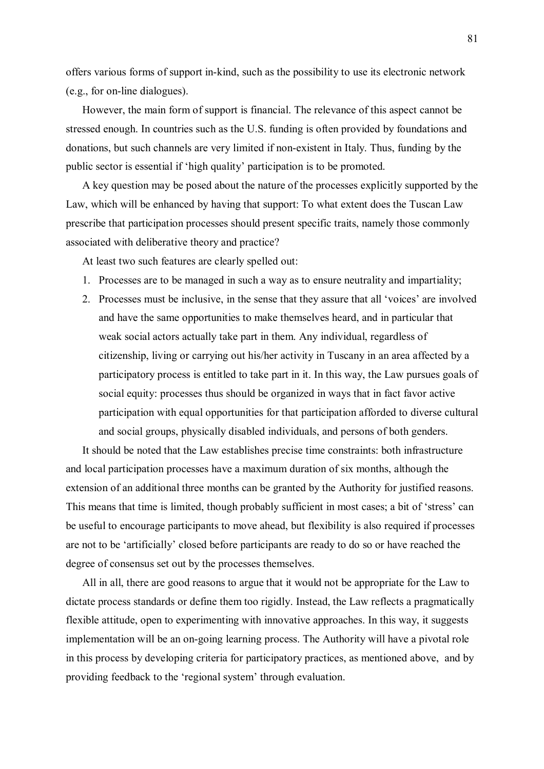offers various forms of support in-kind, such as the possibility to use its electronic network (e.g., for on-line dialogues).

 However, the main form of support is financial. The relevance of this aspect cannot be stressed enough. In countries such as the U.S. funding is often provided by foundations and donations, but such channels are very limited if non-existent in Italy. Thus, funding by the public sector is essential if 'high quality' participation is to be promoted.

 A key question may be posed about the nature of the processes explicitly supported by the Law, which will be enhanced by having that support: To what extent does the Tuscan Law prescribe that participation processes should present specific traits, namely those commonly associated with deliberative theory and practice?

At least two such features are clearly spelled out:

- 1. Processes are to be managed in such a way as to ensure neutrality and impartiality;
- 2. Processes must be inclusive, in the sense that they assure that all 'voices' are involved and have the same opportunities to make themselves heard, and in particular that weak social actors actually take part in them. Any individual, regardless of citizenship, living or carrying out his/her activity in Tuscany in an area affected by a participatory process is entitled to take part in it. In this way, the Law pursues goals of social equity: processes thus should be organized in ways that in fact favor active participation with equal opportunities for that participation afforded to diverse cultural and social groups, physically disabled individuals, and persons of both genders.

 It should be noted that the Law establishes precise time constraints: both infrastructure and local participation processes have a maximum duration of six months, although the extension of an additional three months can be granted by the Authority for justified reasons. This means that time is limited, though probably sufficient in most cases; a bit of 'stress' can be useful to encourage participants to move ahead, but flexibility is also required if processes are not to be 'artificially' closed before participants are ready to do so or have reached the degree of consensus set out by the processes themselves.

 All in all, there are good reasons to argue that it would not be appropriate for the Law to dictate process standards or define them too rigidly. Instead, the Law reflects a pragmatically flexible attitude, open to experimenting with innovative approaches. In this way, it suggests implementation will be an on-going learning process. The Authority will have a pivotal role in this process by developing criteria for participatory practices, as mentioned above, and by providing feedback to the 'regional system' through evaluation.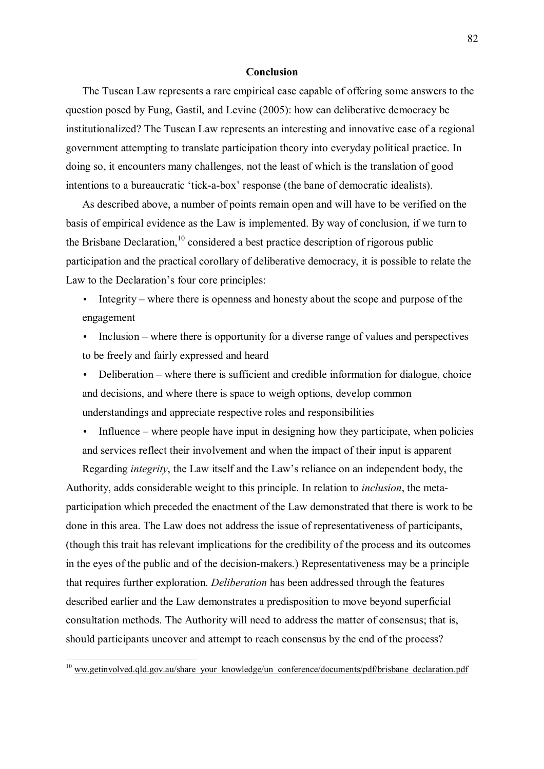#### **Conclusion**

 The Tuscan Law represents a rare empirical case capable of offering some answers to the question posed by Fung, Gastil, and Levine (2005): how can deliberative democracy be institutionalized? The Tuscan Law represents an interesting and innovative case of a regional government attempting to translate participation theory into everyday political practice. In doing so, it encounters many challenges, not the least of which is the translation of good intentions to a bureaucratic 'tick-a-box' response (the bane of democratic idealists).

 As described above, a number of points remain open and will have to be verified on the basis of empirical evidence as the Law is implemented. By way of conclusion, if we turn to the Brisbane Declaration,  $10^{\circ}$  considered a best practice description of rigorous public participation and the practical corollary of deliberative democracy, it is possible to relate the Law to the Declaration's four core principles:

- Integrity where there is openness and honesty about the scope and purpose of the engagement
- Inclusion where there is opportunity for a diverse range of values and perspectives to be freely and fairly expressed and heard
- Deliberation  $-$  where there is sufficient and credible information for dialogue, choice and decisions, and where there is space to weigh options, develop common understandings and appreciate respective roles and responsibilities
- Influence where people have input in designing how they participate, when policies and services reflect their involvement and when the impact of their input is apparent

Regarding *integrity*, the Law itself and the Law's reliance on an independent body, the Authority, adds considerable weight to this principle. In relation to *inclusion*, the metaparticipation which preceded the enactment of the Law demonstrated that there is work to be done in this area. The Law does not address the issue of representativeness of participants, (though this trait has relevant implications for the credibility of the process and its outcomes in the eyes of the public and of the decision-makers.) Representativeness may be a principle that requires further exploration. *Deliberation* has been addressed through the features described earlier and the Law demonstrates a predisposition to move beyond superficial consultation methods. The Authority will need to address the matter of consensus; that is, should participants uncover and attempt to reach consensus by the end of the process?

 $\overline{a}$ 

 $10$  ww.getinvolved.gld.gov.au/share\_your\_knowledge/un\_conference/documents/pdf/brisbane\_declaration.pdf